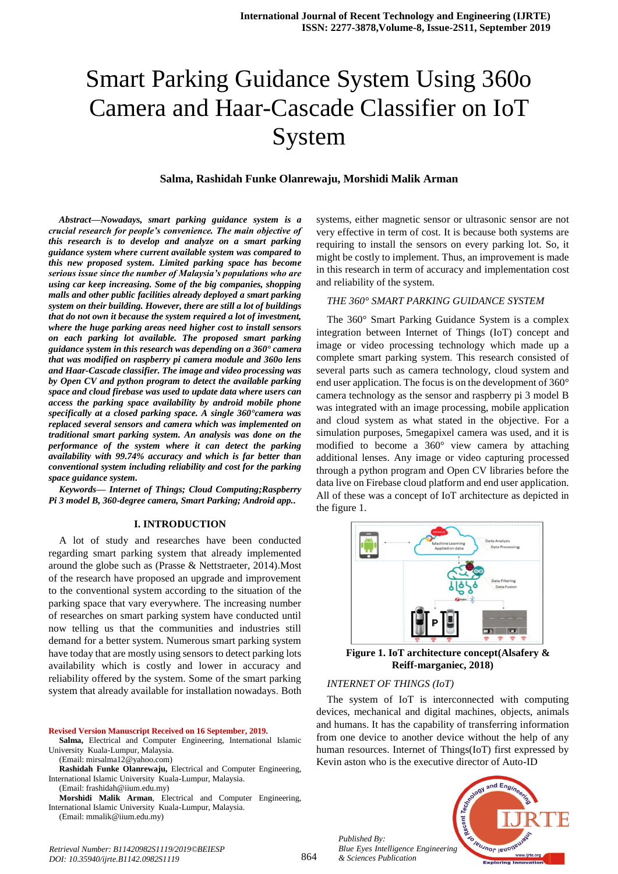# Smart Parking Guidance System Using 360o Camera and Haar-Cascade Classifier on IoT System

#### **Salma, Rashidah Funke Olanrewaju, Morshidi Malik Arman**

*Abstract***—***Nowadays, smart parking guidance system is a crucial research for people's convenience. The main objective of this research is to develop and analyze on a smart parking guidance system where current available system was compared to this new proposed system. Limited parking space has become serious issue since the number of Malaysia's populations who are using car keep increasing. Some of the big companies, shopping malls and other public facilities already deployed a smart parking system on their building. However, there are still a lot of buildings that do not own it because the system required a lot of investment, where the huge parking areas need higher cost to install sensors on each parking lot available. The proposed smart parking guidance system in this research was depending on a 360° camera that was modified on raspberry pi camera module and 360o lens and Haar-Cascade classifier. The image and video processing was by Open CV and python program to detect the available parking space and cloud firebase was used to update data where users can access the parking space availability by android mobile phone specifically at a closed parking space. A single 360°camera was replaced several sensors and camera which was implemented on traditional smart parking system. An analysis was done on the performance of the system where it can detect the parking availability with 99.74% accuracy and which is far better than conventional system including reliability and cost for the parking space guidance system.*

*Keywords— Internet of Things; Cloud Computing;Raspberry Pi 3 model B, 360-degree camera, Smart Parking; Android app..*

#### **I. INTRODUCTION**

A lot of study and researches have been conducted regarding smart parking system that already implemented around the globe such as (Prasse & Nettstraeter, 2014).Most of the research have proposed an upgrade and improvement to the conventional system according to the situation of the parking space that vary everywhere. The increasing number of researches on smart parking system have conducted until now telling us that the communities and industries still demand for a better system. Numerous smart parking system have today that are mostly using sensors to detect parking lots availability which is costly and lower in accuracy and reliability offered by the system. Some of the smart parking system that already available for installation nowadays. Both

**Revised Version Manuscript Received on 16 September, 2019.**

**Salma,** Electrical and Computer Engineering, International Islamic University Kuala-Lumpur, Malaysia.

(Email: mirsalma12@yahoo.com)

**Rashidah Funke Olanrewaju,** Electrical and Computer Engineering, International Islamic University Kuala-Lumpur, Malaysia. (Email: frashidah@iium.edu.my)

*DOI: 10.35940/ijrte.B1142.0982S1119*

**Morshidi Malik Arman**, Electrical and Computer Engineering, International Islamic University Kuala-Lumpur, Malaysia. (Email: mmalik@iium.edu.my)

systems, either magnetic sensor or ultrasonic sensor are not very effective in term of cost. It is because both systems are requiring to install the sensors on every parking lot. So, it might be costly to implement. Thus, an improvement is made in this research in term of accuracy and implementation cost and reliability of the system.

#### *THE 360° SMART PARKING GUIDANCE SYSTEM*

The 360° Smart Parking Guidance System is a complex integration between Internet of Things (IoT) concept and image or video processing technology which made up a complete smart parking system. This research consisted of several parts such as camera technology, cloud system and end user application. The focus is on the development of 360° camera technology as the sensor and raspberry pi 3 model B was integrated with an image processing, mobile application and cloud system as what stated in the objective. For a simulation purposes, 5megapixel camera was used, and it is modified to become a 360° view camera by attaching additional lenses. Any image or video capturing processed through a python program and Open CV libraries before the data live on Firebase cloud platform and end user application. All of these was a concept of IoT architecture as depicted in the figure 1.



**Figure 1. IoT architecture concept(Alsafery & Reiff-marganiec, 2018)**

#### *INTERNET OF THINGS (IoT)*

The system of IoT is interconnected with computing devices, mechanical and digital machines, objects, animals and humans. It has the capability of transferring information from one device to another device without the help of any human resources. Internet of Things(IoT) first expressed by Kevin aston who is the executive director of Auto-ID

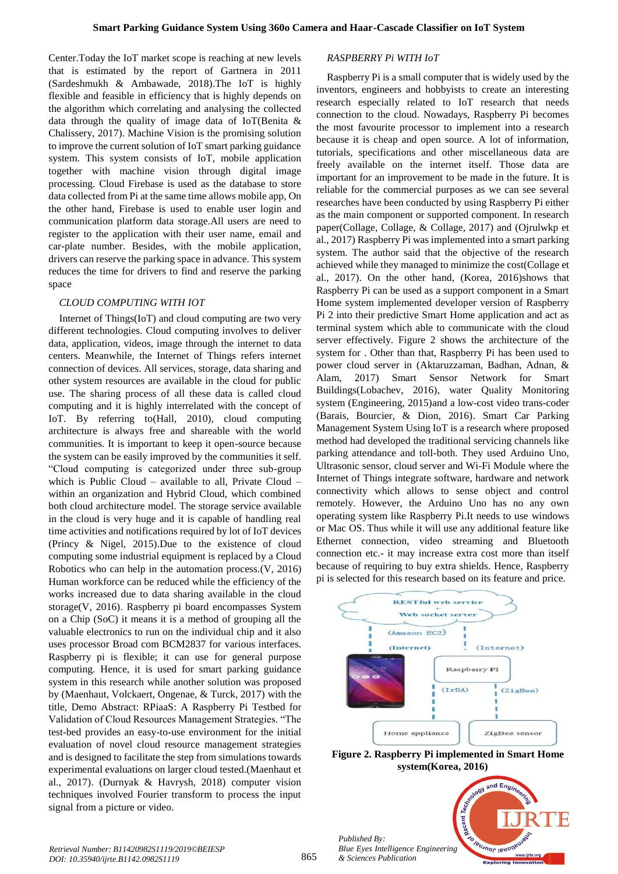Center.Today the IoT market scope is reaching at new levels that is estimated by the report of Gartnera in 2011 (Sardeshmukh & Ambawade, 2018).The IoT is highly flexible and feasible in efficiency that is highly depends on the algorithm which correlating and analysing the collected data through the quality of image data of IoT(Benita & Chalissery, 2017). Machine Vision is the promising solution to improve the current solution of IoT smart parking guidance system. This system consists of IoT, mobile application together with machine vision through digital image processing. Cloud Firebase is used as the database to store data collected from Pi at the same time allows mobile app, On the other hand, Firebase is used to enable user login and communication platform data storage.All users are need to register to the application with their user name, email and car-plate number. Besides, with the mobile application, drivers can reserve the parking space in advance. This system reduces the time for drivers to find and reserve the parking space

### *CLOUD COMPUTING WITH IOT*

Internet of Things(IoT) and cloud computing are two very different technologies. Cloud computing involves to deliver data, application, videos, image through the internet to data centers. Meanwhile, the Internet of Things refers internet connection of devices. All services, storage, data sharing and other system resources are available in the cloud for public use. The sharing process of all these data is called cloud computing and it is highly interrelated with the concept of IoT. By referring to(Hall, 2010), cloud computing architecture is always free and shareable with the world communities. It is important to keep it open-source because the system can be easily improved by the communities it self. "Cloud computing is categorized under three sub-group which is Public Cloud – available to all, Private Cloud – within an organization and Hybrid Cloud, which combined both cloud architecture model. The storage service available in the cloud is very huge and it is capable of handling real time activities and notifications required by lot of IoT devices (Princy & Nigel, 2015).Due to the existence of cloud computing some industrial equipment is replaced by a Cloud Robotics who can help in the automation process.(V, 2016) Human workforce can be reduced while the efficiency of the works increased due to data sharing available in the cloud storage(V, 2016). Raspberry pi board encompasses System on a Chip (SoC) it means it is a method of grouping all the valuable electronics to run on the individual chip and it also uses processor Broad com BCM2837 for various interfaces. Raspberry pi is flexible; it can use for general purpose computing. Hence, it is used for smart parking guidance system in this research while another solution was proposed by (Maenhaut, Volckaert, Ongenae, & Turck, 2017) with the title, Demo Abstract: RPiaaS: A Raspberry Pi Testbed for Validation of Cloud Resources Management Strategies. "The test-bed provides an easy-to-use environment for the initial evaluation of novel cloud resource management strategies and is designed to facilitate the step from simulations towards experimental evaluations on larger cloud tested.(Maenhaut et al., 2017). (Durnyak & Havrysh, 2018) computer vision techniques involved Fourier transform to process the input signal from a picture or video.

# *RASPBERRY Pi WITH IoT*

Raspberry Pi is a small computer that is widely used by the inventors, engineers and hobbyists to create an interesting research especially related to IoT research that needs connection to the cloud. Nowadays, Raspberry Pi becomes the most favourite processor to implement into a research because it is cheap and open source. A lot of information, tutorials, specifications and other miscellaneous data are freely available on the internet itself. Those data are important for an improvement to be made in the future. It is reliable for the commercial purposes as we can see several researches have been conducted by using Raspberry Pi either as the main component or supported component. In research paper(Collage, Collage, & Collage, 2017) and (Ojrulwkp et al., 2017) Raspberry Pi was implemented into a smart parking system. The author said that the objective of the research achieved while they managed to minimize the cost(Collage et al., 2017). On the other hand, (Korea, 2016)shows that Raspberry Pi can be used as a support component in a Smart Home system implemented developer version of Raspberry Pi 2 into their predictive Smart Home application and act as terminal system which able to communicate with the cloud server effectively. Figure 2 shows the architecture of the system for . Other than that, Raspberry Pi has been used to power cloud server in (Aktaruzzaman, Badhan, Adnan, & Alam, 2017) Smart Sensor Network for Smart Buildings(Lobachev, 2016), water Quality Monitoring system (Engineering, 2015)and a low-cost video trans-coder (Barais, Bourcier, & Dion, 2016). Smart Car Parking Management System Using IoT is a research where proposed method had developed the traditional servicing channels like parking attendance and toll-both. They used Arduino Uno, Ultrasonic sensor, cloud server and Wi-Fi Module where the Internet of Things integrate software, hardware and network connectivity which allows to sense object and control remotely. However, the Arduino Uno has no any own operating system like Raspberry Pi.It needs to use windows or Mac OS. Thus while it will use any additional feature like Ethernet connection, video streaming and Bluetooth connection etc.- it may increase extra cost more than itself because of requiring to buy extra shields. Hence, Raspberry pi is selected for this research based on its feature and price.



**Figure 2. Raspberry Pi implemented in Smart Home system(Korea, 2016)**

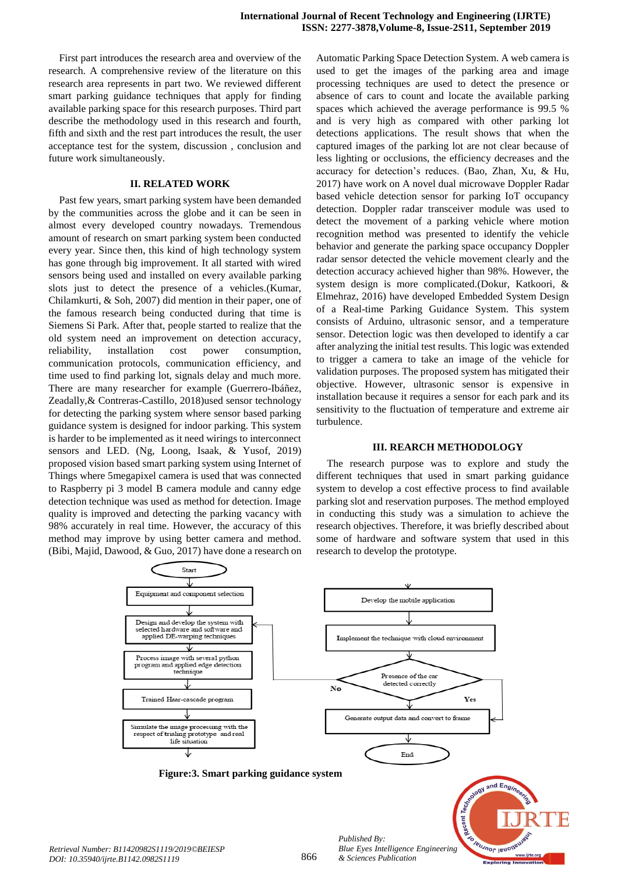First part introduces the research area and overview of the research. A comprehensive review of the literature on this research area represents in part two. We reviewed different smart parking guidance techniques that apply for finding available parking space for this research purposes. Third part describe the methodology used in this research and fourth, fifth and sixth and the rest part introduces the result, the user acceptance test for the system, discussion , conclusion and future work simultaneously.

#### **II. RELATED WORK**

Past few years, smart parking system have been demanded by the communities across the globe and it can be seen in almost every developed country nowadays. Tremendous amount of research on smart parking system been conducted every year. Since then, this kind of high technology system has gone through big improvement. It all started with wired sensors being used and installed on every available parking slots just to detect the presence of a vehicles.(Kumar, Chilamkurti, & Soh, 2007) did mention in their paper, one of the famous research being conducted during that time is Siemens Si Park. After that, people started to realize that the old system need an improvement on detection accuracy, reliability, installation cost power consumption, communication protocols, communication efficiency, and time used to find parking lot, signals delay and much more. There are many researcher for example (Guerrero-Ibáñez, Zeadally,& Contreras-Castillo, 2018)used sensor technology for detecting the parking system where sensor based parking guidance system is designed for indoor parking. This system is harder to be implemented as it need wirings to interconnect sensors and LED. (Ng, Loong, Isaak, & Yusof, 2019) proposed vision based smart parking system using Internet of Things where 5megapixel camera is used that was connected to Raspberry pi 3 model B camera module and canny edge detection technique was used as method for detection. Image quality is improved and detecting the parking vacancy with 98% accurately in real time. However, the accuracy of this method may improve by using better camera and method. (Bibi, Majid, Dawood, & Guo, 2017) have done a research on

Automatic Parking Space Detection System. A web camera is used to get the images of the parking area and image processing techniques are used to detect the presence or absence of cars to count and locate the available parking spaces which achieved the average performance is 99.5 % and is very high as compared with other parking lot detections applications. The result shows that when the captured images of the parking lot are not clear because of less lighting or occlusions, the efficiency decreases and the accuracy for detection's reduces. (Bao, Zhan, Xu, & Hu, 2017) have work on A novel dual microwave Doppler Radar based vehicle detection sensor for parking IoT occupancy detection. Doppler radar transceiver module was used to detect the movement of a parking vehicle where motion recognition method was presented to identify the vehicle behavior and generate the parking space occupancy Doppler radar sensor detected the vehicle movement clearly and the detection accuracy achieved higher than 98%. However, the system design is more complicated.(Dokur, Katkoori, & Elmehraz, 2016) have developed Embedded System Design of a Real-time Parking Guidance System. This system consists of Arduino, ultrasonic sensor, and a temperature sensor. Detection logic was then developed to identify a car after analyzing the initial test results. This logic was extended to trigger a camera to take an image of the vehicle for validation purposes. The proposed system has mitigated their objective. However, ultrasonic sensor is expensive in installation because it requires a sensor for each park and its sensitivity to the fluctuation of temperature and extreme air turbulence.

#### **III. REARCH METHODOLOGY**

The research purpose was to explore and study the different techniques that used in smart parking guidance system to develop a cost effective process to find available parking slot and reservation purposes. The method employed in conducting this study was a simulation to achieve the research objectives. Therefore, it was briefly described about some of hardware and software system that used in this research to develop the prototype.

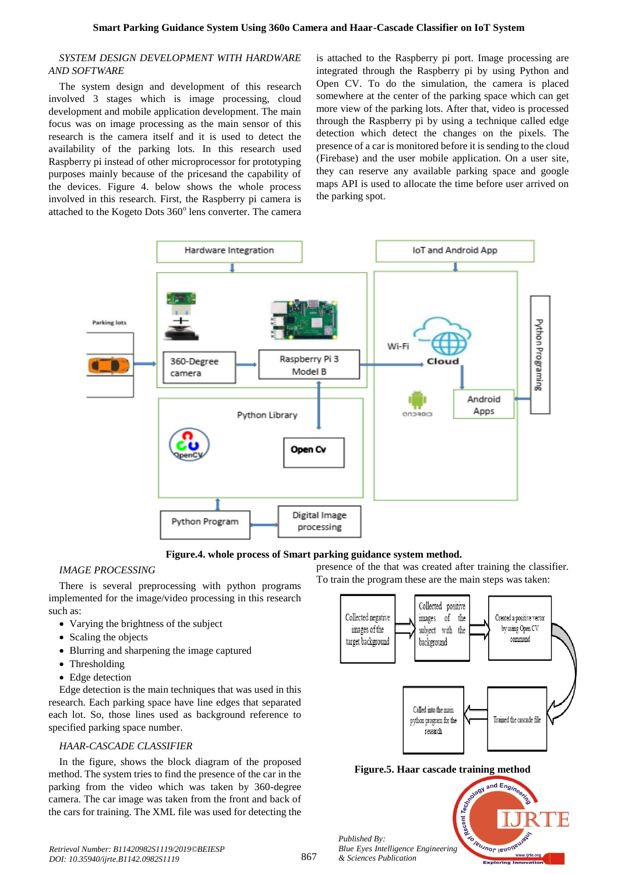#### *SYSTEM DESIGN DEVELOPMENT WITH HARDWARE AND SOFTWARE*

The system design and development of this research involved 3 stages which is image processing, cloud development and mobile application development. The main focus was on image processing as the main sensor of this research is the camera itself and it is used to detect the availability of the parking lots. In this research used Raspberry pi instead of other microprocessor for prototyping purposes mainly because of the pricesand the capability of the devices. Figure 4. below shows the whole process involved in this research. First, the Raspberry pi camera is attached to the Kogeto Dots 360° lens converter. The camera

is attached to the Raspberry pi port. Image processing are integrated through the Raspberry pi by using Python and Open CV. To do the simulation, the camera is placed somewhere at the center of the parking space which can get more view of the parking lots. After that, video is processed through the Raspberry pi by using a technique called edge detection which detect the changes on the pixels. The presence of a car is monitored before it is sending to the cloud (Firebase) and the user mobile application. On a user site, they can reserve any available parking space and google maps API is used to allocate the time before user arrived on the parking spot.



**Figure.4. whole process of Smart parking guidance system method.**

# *IMAGE PROCESSING*

There is several preprocessing with python programs implemented for the image/video processing in this research such as:

- Varying the brightness of the subject
- Scaling the objects
- Blurring and sharpening the image captured
- Thresholding
- Edge detection

Edge detection is the main techniques that was used in this research. Each parking space have line edges that separated each lot. So, those lines used as background reference to specified parking space number.

# *HAAR-CASCADE CLASSIFIER*

In the figure, shows the block diagram of the proposed method. The system tries to find the presence of the car in the parking from the video which was taken by 360-degree camera. The car image was taken from the front and back of the cars for training. The XML file was used for detecting the presence of the that was created after training the classifier. To train the program these are the main steps was taken:



cent

leusnor lend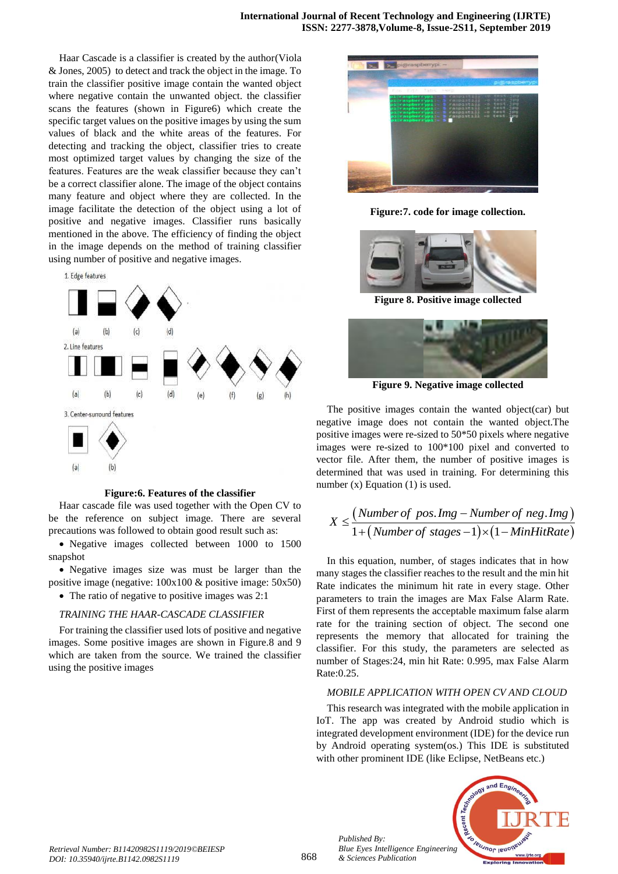Haar Cascade is a classifier is created by the author(Viola & Jones, 2005) to detect and track the object in the image. To train the classifier positive image contain the wanted object where negative contain the unwanted object. the classifier scans the features (shown in Figure6) which create the specific target values on the positive images by using the sum values of black and the white areas of the features. For detecting and tracking the object, classifier tries to create most optimized target values by changing the size of the features. Features are the weak classifier because they can't be a correct classifier alone. The image of the object contains many feature and object where they are collected. In the image facilitate the detection of the object using a lot of positive and negative images. Classifier runs basically mentioned in the above. The efficiency of finding the object in the image depends on the method of training classifier using number of positive and negative images.



#### **Figure:6. Features of the classifier**

Haar cascade file was used together with the Open CV to be the reference on subject image. There are several precautions was followed to obtain good result such as:

 Negative images collected between 1000 to 1500 snapshot

 Negative images size was must be larger than the positive image (negative: 100x100 & positive image: 50x50) • The ratio of negative to positive images was 2:1

#### *TRAINING THE HAAR-CASCADE CLASSIFIER*

For training the classifier used lots of positive and negative images. Some positive images are shown in Figure.8 and 9 which are taken from the source. We trained the classifier using the positive images



**Figure:7. code for image collection.**



**Figure 8. Positive image collected**



**Figure 9. Negative image collected**

The positive images contain the wanted object(car) but negative image does not contain the wanted object.The positive images were re-sized to 50\*50 pixels where negative images were re-sized to 100\*100 pixel and converted to vector file. After them, the number of positive images is determined that was used in training. For determining this number (x) Equation (1) is used.

\n The number of two numbers is given by:\n 
$$
X \leq \frac{(\text{Number of pos.} \text{Img} - \text{Number of neg.} \text{Img})}{1 + (\text{Number of stages} - 1) \times (1 - \text{MinHitRate})}
$$
\n

In this equation, number, of stages indicates that in how many stages the classifier reaches to the result and the min hit Rate indicates the minimum hit rate in every stage. Other parameters to train the images are Max False Alarm Rate. First of them represents the acceptable maximum false alarm rate for the training section of object. The second one represents the memory that allocated for training the classifier. For this study, the parameters are selected as number of Stages:24, min hit Rate: 0.995, max False Alarm Rate:0.25.

#### *MOBILE APPLICATION WITH OPEN CV AND CLOUD*

This research was integrated with the mobile application in IoT. The app was created by Android studio which is integrated development environment (IDE) for the device run by Android operating system(os.) This IDE is substituted with other prominent IDE (like Eclipse, NetBeans etc.)



*Published By:*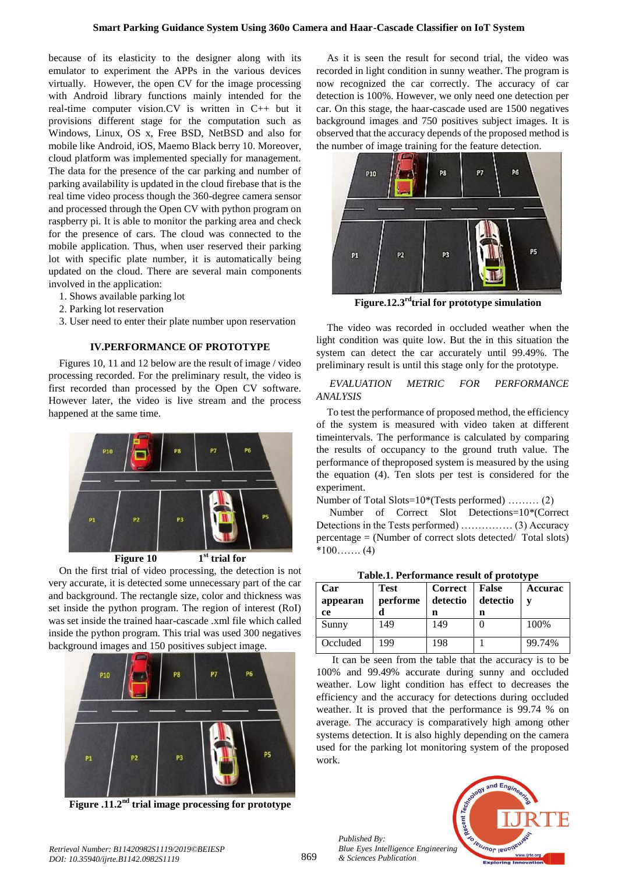because of its elasticity to the designer along with its emulator to experiment the APPs in the various devices virtually. However, the open CV for the image processing with Android library functions mainly intended for the real-time computer vision.CV is written in C++ but it provisions different stage for the computation such as Windows, Linux, OS x, Free BSD, NetBSD and also for mobile like Android, iOS, Maemo Black berry 10. Moreover, cloud platform was implemented specially for management. The data for the presence of the car parking and number of parking availability is updated in the cloud firebase that is the real time video process though the 360-degree camera sensor and processed through the Open CV with python program on raspberry pi. It is able to monitor the parking area and check for the presence of cars. The cloud was connected to the mobile application. Thus, when user reserved their parking lot with specific plate number, it is automatically being updated on the cloud. There are several main components involved in the application:

- 1. Shows available parking lot
- 2. Parking lot reservation
- 3. User need to enter their plate number upon reservation

#### **IV.PERFORMANCE OF PROTOTYPE**

Figures 10, 11 and 12 below are the result of image / video processing recorded. For the preliminary result, the video is first recorded than processed by the Open CV software. However later, the video is live stream and the process happened at the same time.



On the first trial of video processing, the detection is not very accurate, it is detected some unnecessary part of the car and background. The rectangle size, color and thickness was set inside the python program. The region of interest (RoI) was set inside the trained haar-cascade .xml file which called inside the python program. This trial was used 300 negatives background images and 150 positives subject image.



**Figure .11.2nd trial image processing for prototype**

As it is seen the result for second trial, the video was recorded in light condition in sunny weather. The program is now recognized the car correctly. The accuracy of car detection is 100%. However, we only need one detection per car. On this stage, the haar-cascade used are 1500 negatives background images and 750 positives subject images. It is observed that the accuracy depends of the proposed method is the number of image training for the feature detection.



**Figure.12.3rdtrial for prototype simulation**

The video was recorded in occluded weather when the light condition was quite low. But the in this situation the system can detect the car accurately until 99.49%. The preliminary result is until this stage only for the prototype.

#### *EVALUATION METRIC FOR PERFORMANCE ANALYSIS*

To test the performance of proposed method, the efficiency of the system is measured with video taken at different timeintervals. The performance is calculated by comparing the results of occupancy to the ground truth value. The performance of theproposed system is measured by the using the equation (4). Ten slots per test is considered for the experiment.

Number of Total Slots=10\*(Tests performed) ……… (2)

Number of Correct Slot Detections=10\*(Correct Detections in the Tests performed) …………… (3) Accuracy percentage = (Number of correct slots detected/ Total slots) \*100……. (4)

| Table.1. Performance result of prototype |             |                |              |         |  |  |  |
|------------------------------------------|-------------|----------------|--------------|---------|--|--|--|
| Car                                      | <b>Test</b> | <b>Correct</b> | <b>False</b> | Accurac |  |  |  |
| appearan                                 | performe    | detectio       | detectio     | V       |  |  |  |
| ce                                       |             | n              | n            |         |  |  |  |
| Sunny                                    | 149         | 149            | 0            | 100%    |  |  |  |
| Occluded                                 | 199         | 198            |              | 99.74%  |  |  |  |

 It can be seen from the table that the accuracy is to be 100% and 99.49% accurate during sunny and occluded weather. Low light condition has effect to decreases the efficiency and the accuracy for detections during occluded weather. It is proved that the performance is 99.74 % on average. The accuracy is comparatively high among other systems detection. It is also highly depending on the camera used for the parking lot monitoring system of the proposed work.



*Published By:*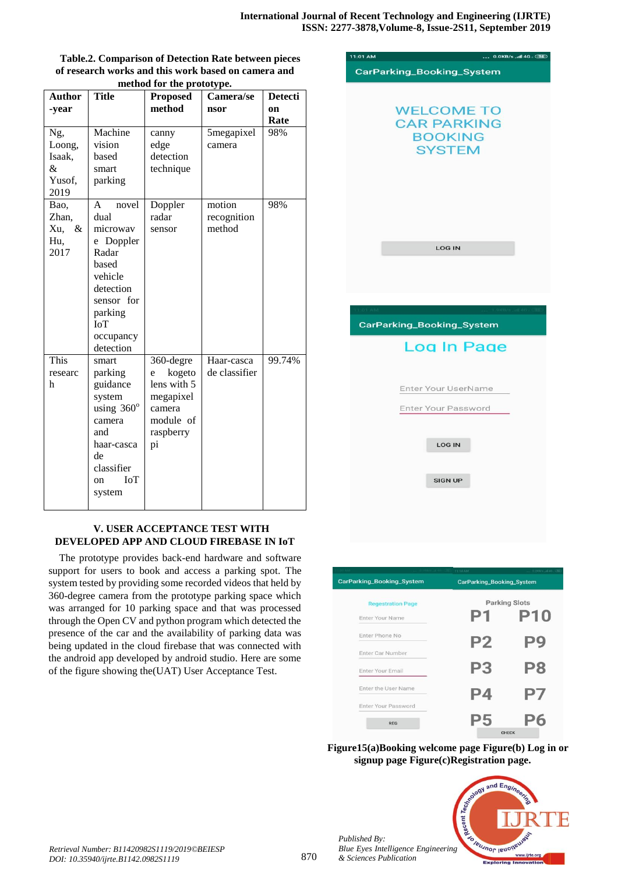| method for the prototype.                      |                                                                                                                                                 |                                                                                                |                                 |                              |  |  |  |
|------------------------------------------------|-------------------------------------------------------------------------------------------------------------------------------------------------|------------------------------------------------------------------------------------------------|---------------------------------|------------------------------|--|--|--|
| <b>Author</b><br>-year                         | <b>Title</b>                                                                                                                                    | <b>Proposed</b><br>method                                                                      | Camera/se<br>nsor               | <b>Detecti</b><br>on<br>Rate |  |  |  |
| Ng,<br>Loong,<br>Isaak,<br>&<br>Yusof,<br>2019 | Machine<br>vision<br>based<br>smart<br>parking                                                                                                  | canny<br>edge<br>detection<br>technique                                                        | 5megapixel<br>camera            | 98%                          |  |  |  |
| Bao,<br>Zhan,<br>$\&$<br>Xu,<br>Hu,<br>2017    | A<br>novel<br>dual<br>microwav<br>e Doppler<br>Radar<br>based<br>vehicle<br>detection<br>sensor for<br>parking<br>IoT<br>occupancy<br>detection | Doppler<br>radar<br>sensor                                                                     | motion<br>recognition<br>method | 98%                          |  |  |  |
| This<br>researc<br>h                           | smart<br>parking<br>guidance<br>system<br>using 360°<br>camera<br>and<br>haar-casca<br>de<br>classifier<br><b>IoT</b><br>on<br>system           | 360-degre<br>kogeto<br>e<br>lens with 5<br>megapixel<br>camera<br>module of<br>raspberry<br>pi | Haar-casca<br>de classifier     | 99.74%                       |  |  |  |

# **Table.2. Comparison of Detection Rate between pieces of research works and this work based on camera and**

# **V. USER ACCEPTANCE TEST WITH DEVELOPED APP AND CLOUD FIREBASE IN IoT**

The prototype provides back-end hardware and software support for users to book and access a parking spot. The system tested by providing some recorded videos that held by 360-degree camera from the prototype parking space which was arranged for 10 parking space and that was processed through the Open CV and python program which detected the presence of the car and the availability of parking data was being updated in the cloud firebase that was connected with the android app developed by android studio. Here are some of the figure showing the(UAT) User Acceptance Test.



|                           |  | 11:14 AM       | $_{2.2.2}$ (0.2830) 6 $-40.1$ |  |  |
|---------------------------|--|----------------|-------------------------------|--|--|
| CarParking_Booking_System |  |                | CarParking_Booking_System     |  |  |
| <b>Regestration Page</b>  |  |                | <b>Parking Slots</b>          |  |  |
| Enter Your Name           |  | P1             | <b>P10</b>                    |  |  |
| Enter Phone No            |  | P <sub>2</sub> | P9                            |  |  |
| Enter Car Number          |  |                |                               |  |  |
| Enter Your Email          |  | P <sub>3</sub> | P <sub>8</sub>                |  |  |
| Enter the User Name       |  | P4             | P7                            |  |  |
| Enter Your Password       |  |                |                               |  |  |
| <b>REG</b>                |  | רי             | <b>OLIFOU</b>                 |  |  |

**Figure15(a)Booking welcome page Figure(b) Log in or signup page Figure(c)Registration page.**



*Published By:*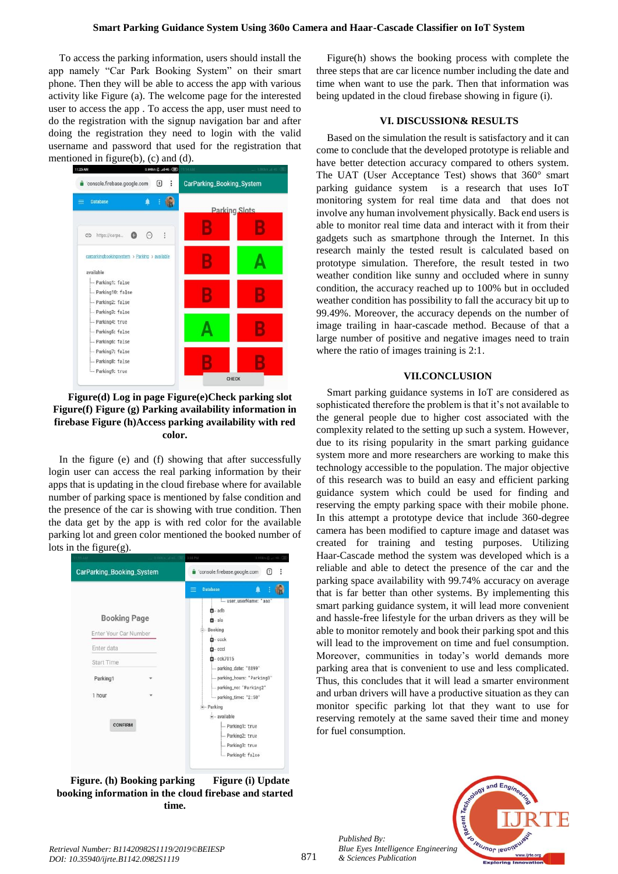#### **Smart Parking Guidance System Using 360o Camera and Haar-Cascade Classifier on IoT System**

To access the parking information, users should install the app namely "Car Park Booking System" on their smart phone. Then they will be able to access the app with various activity like Figure (a). The welcome page for the interested user to access the app . To access the app, user must need to do the registration with the signup navigation bar and after doing the registration they need to login with the valid username and password that used for the registration that mentioned in figure(b), (c) and (d).



**Figure(d) Log in page Figure(e)Check parking slot Figure(f) Figure (g) Parking availability information in firebase Figure (h)Access parking availability with red color.**

In the figure (e) and (f) showing that after successfully login user can access the real parking information by their apps that is updating in the cloud firebase where for available number of parking space is mentioned by false condition and the presence of the car is showing with true condition. Then the data get by the app is with red color for the available parking lot and green color mentioned the booked number of lots in the figure $(g)$ .



**Figure. (h) Booking parking Figure (i) Update booking information in the cloud firebase and started time.**

Figure(h) shows the booking process with complete the three steps that are car licence number including the date and time when want to use the park. Then that information was being updated in the cloud firebase showing in figure (i).

#### **VI. DISCUSSION& RESULTS**

Based on the simulation the result is satisfactory and it can come to conclude that the developed prototype is reliable and have better detection accuracy compared to others system. The UAT (User Acceptance Test) shows that 360° smart parking guidance system is a research that uses IoT monitoring system for real time data and that does not involve any human involvement physically. Back end users is able to monitor real time data and interact with it from their gadgets such as smartphone through the Internet. In this research mainly the tested result is calculated based on prototype simulation. Therefore, the result tested in two weather condition like sunny and occluded where in sunny condition, the accuracy reached up to 100% but in occluded weather condition has possibility to fall the accuracy bit up to 99.49%. Moreover, the accuracy depends on the number of image trailing in haar-cascade method. Because of that a large number of positive and negative images need to train where the ratio of images training is 2:1.

#### **VII.CONCLUSION**

Smart parking guidance systems in IoT are considered as sophisticated therefore the problem is that it's not available to the general people due to higher cost associated with the complexity related to the setting up such a system. However, due to its rising popularity in the smart parking guidance system more and more researchers are working to make this technology accessible to the population. The major objective of this research was to build an easy and efficient parking guidance system which could be used for finding and reserving the empty parking space with their mobile phone. In this attempt a prototype device that include 360-degree camera has been modified to capture image and dataset was created for training and testing purposes. Utilizing Haar-Cascade method the system was developed which is a reliable and able to detect the presence of the car and the parking space availability with 99.74% accuracy on average that is far better than other systems. By implementing this smart parking guidance system, it will lead more convenient and hassle-free lifestyle for the urban drivers as they will be able to monitor remotely and book their parking spot and this will lead to the improvement on time and fuel consumption. Moreover, communities in today's world demands more parking area that is convenient to use and less complicated. Thus, this concludes that it will lead a smarter environment and urban drivers will have a productive situation as they can monitor specific parking lot that they want to use for reserving remotely at the same saved their time and money for fuel consumption.